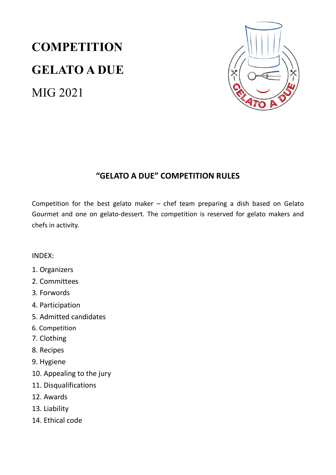# **COMPETITION** GELATO A DUE MIG 2021



## "GELATO A DUE" COMPETITION RULES

Competition for the best gelato maker – chef team preparing a dish based on Gelato Gourmet and one on gelato-dessert. The competition is reserved for gelato makers and chefs in activity.

- INDEX:
- 1. Organizers
- 2. Committees
- 3. Forwords
- 4. Participation
- 5. Admitted candidates
- 6. Competition
- 7. Clothing
- 8. Recipes
- 9. Hygiene
- 10. Appealing to the jury
- 11. Disqualifications
- 12. Awards
- 13. Liability
- 14. Ethical code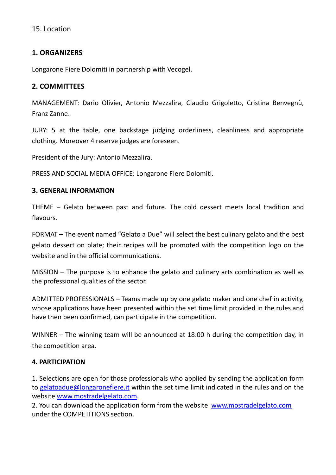#### 15. Location

#### 1. ORGANIZERS

Longarone Fiere Dolomiti in partnership with Vecogel.

#### 2. COMMITTEES

MANAGEMENT: Dario Olivier, Antonio Mezzalira, Claudio Grigoletto, Cristina Benvegnù, Franz Zanne.

JURY: 5 at the table, one backstage judging orderliness, cleanliness and appropriate clothing. Moreover 4 reserve judges are foreseen.

President of the Jury: Antonio Mezzalira.

PRESS AND SOCIAL MEDIA OFFICE: Longarone Fiere Dolomiti.

#### 3. GENERAL INFORMATION

THEME – Gelato between past and future. The cold dessert meets local tradition and flavours.

FORMAT – The event named "Gelato a Due" will select the best culinary gelato and the best gelato dessert on plate; their recipes will be promoted with the competition logo on the website and in the official communications.

MISSION – The purpose is to enhance the gelato and culinary arts combination as well as the professional qualities of the sector.

ADMITTED PROFESSIONALS – Teams made up by one gelato maker and one chef in activity, whose applications have been presented within the set time limit provided in the rules and have then been confirmed, can participate in the competition.

WINNER – The winning team will be announced at 18:00 h during the competition day, in the competition area.

#### 4. PARTICIPATION

1. Selections are open for those professionals who applied by sending the application form to gelatoadue@longaronefiere.it within the set time limit indicated in the rules and on the website www.mostradelgelato.com.

2. You can download the application form from the website www.mostradelgelato.com under the COMPETITIONS section.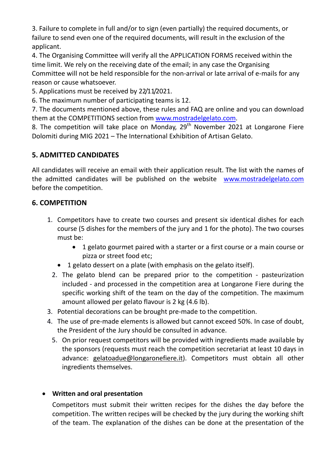3. Failure to complete in full and/or to sign (even partially) the required documents, or failure to send even one of the required documents, will result in the exclusion of the applicant.

4. The Organising Committee will verify all the APPLICATION FORMS received within the time limit. We rely on the receiving date of the email; in any case the Organising Committee will not be held responsible for the non-arrival or late arrival of e-mails for any reason or cause whatsoever.

5. Applications must be received by 22/11/2021.

6. The maximum number of participating teams is 12.

7. The documents mentioned above, these rules and FAQ are online and you can download them at the COMPETITIONS section from www.mostradelgelato.com.

8. The competition will take place on Monday,  $29<sup>th</sup>$  November 2021 at Longarone Fiere Dolomiti during MIG 2021 – The International Exhibition of Artisan Gelato.

## 5. ADMITTED CANDIDATES

All candidates will receive an email with their application result. The list with the names of the admitted candidates will be published on the website www.mostradelgelato.com before the competition.

### 6. COMPETITION

- 1. Competitors have to create two courses and present six identical dishes for each course (5 dishes for the members of the jury and 1 for the photo). The two courses must be:
	- 1 gelato gourmet paired with a starter or a first course or a main course or pizza or street food etc;
	- 1 gelato dessert on a plate (with emphasis on the gelato itself).
	- 2. The gelato blend can be prepared prior to the competition pasteurization included - and processed in the competition area at Longarone Fiere during the specific working shift of the team on the day of the competition. The maximum amount allowed per gelato flavour is 2 kg (4.6 lb).
- 3. Potential decorations can be brought pre-made to the competition.
- 4. The use of pre-made elements is allowed but cannot exceed 50%. In case of doubt, the President of the Jury should be consulted in advance.
	- 5. On prior request competitors will be provided with ingredients made available by the sponsors (requests must reach the competition secretariat at least 10 days in advance: gelatoadue@longaronefiere.it). Competitors must obtain all other ingredients themselves.

#### Written and oral presentation

 Competitors must submit their written recipes for the dishes the day before the competition. The written recipes will be checked by the jury during the working shift of the team. The explanation of the dishes can be done at the presentation of the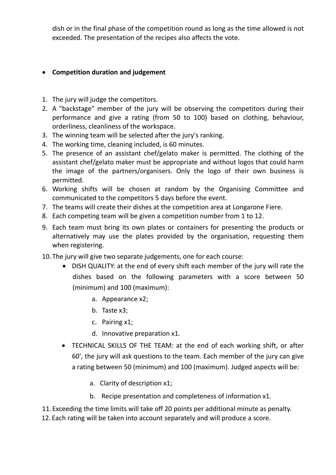dish or in the final phase of the competition round as long as the time allowed is not exceeded. The presentation of the recipes also affects the vote.

#### Competition duration and judgement

- 1. The jury will judge the competitors.
- 2. A "backstage" member of the jury will be observing the competitors during their performance and give a rating (from 50 to 100) based on clothing, behaviour, orderliness, cleanliness of the workspace.
- 3. The winning team will be selected after the jury's ranking.
- 4. The working time, cleaning included, is 60 minutes.
- 5. The presence of an assistant chef/gelato maker is permitted. The clothing of the assistant chef/gelato maker must be appropriate and without logos that could harm the image of the partners/organisers. Only the logo of their own business is permitted.
- 6. Working shifts will be chosen at random by the Organising Committee and communicated to the competitors 5 days before the event.
- 7. The teams will create their dishes at the competition area at Longarone Fiere.
- 8. Each competing team will be given a competition number from 1 to 12.
- 9. Each team must bring its own plates or containers for presenting the products or alternatively may use the plates provided by the organisation, requesting them when registering.
- 10. The jury will give two separate judgements, one for each course:
	- DISH QUALITY: at the end of every shift each member of the jury will rate the dishes based on the following parameters with a score between 50 (minimum) and 100 (maximum):
		- a. Appearance x2;
		- b. Taste x3;
		- c. Pairing x1;
		- d. Innovative preparation x1.
	- TECHNICAL SKILLS OF THE TEAM: at the end of each working shift, or after 60', the jury will ask questions to the team. Each member of the jury can give a rating between 50 (minimum) and 100 (maximum). Judged aspects will be:
		- a. Clarity of description x1;
		- b. Recipe presentation and completeness of information x1.

11. Exceeding the time limits will take off 20 points per additional minute as penalty. 12. Each rating will be taken into account separately and will produce a score.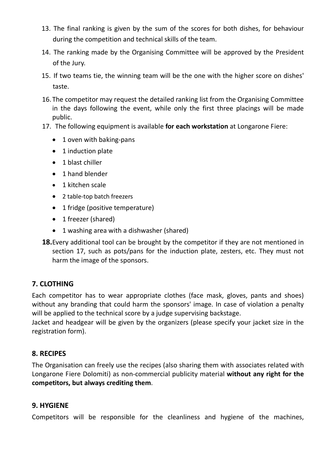- 13. The final ranking is given by the sum of the scores for both dishes, for behaviour during the competition and technical skills of the team.
- 14. The ranking made by the Organising Committee will be approved by the President of the Jury.
- 15. If two teams tie, the winning team will be the one with the higher score on dishes' taste.
- 16. The competitor may request the detailed ranking list from the Organising Committee in the days following the event, while only the first three placings will be made public.
- 17. The following equipment is available for each workstation at Longarone Fiere:
	- 1 oven with baking-pans
	- 1 induction plate
	- 1 blast chiller
	- 1 hand blender
	- 1 kitchen scale
	- 2 table-top batch freezers
	- 1 fridge (positive temperature)
	- 1 freezer (shared)
	- 1 washing area with a dishwasher (shared)
- 18. Every additional tool can be brought by the competitor if they are not mentioned in section 17, such as pots/pans for the induction plate, zesters, etc. They must not harm the image of the sponsors.

## 7. CLOTHING

Each competitor has to wear appropriate clothes (face mask, gloves, pants and shoes) without any branding that could harm the sponsors' image. In case of violation a penalty will be applied to the technical score by a judge supervising backstage.

Jacket and headgear will be given by the organizers (please specify your jacket size in the registration form).

## 8. RECIPES

The Organisation can freely use the recipes (also sharing them with associates related with Longarone Fiere Dolomiti) as non-commercial publicity material without any right for the competitors, but always crediting them.

## 9. HYGIENE

Competitors will be responsible for the cleanliness and hygiene of the machines,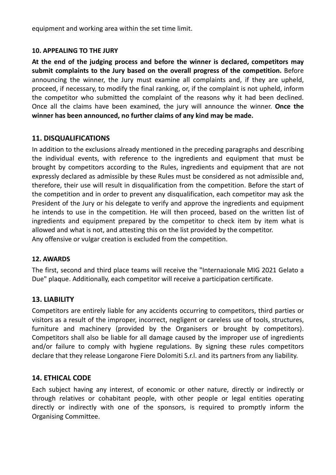equipment and working area within the set time limit.

#### 10. APPEALING TO THE JURY

At the end of the judging process and before the winner is declared, competitors may submit complaints to the Jury based on the overall progress of the competition. Before announcing the winner, the Jury must examine all complaints and, if they are upheld, proceed, if necessary, to modify the final ranking, or, if the complaint is not upheld, inform the competitor who submitted the complaint of the reasons why it had been declined. Once all the claims have been examined, the jury will announce the winner. Once the winner has been announced, no further claims of any kind may be made.

#### 11. DISQUALIFICATIONS

In addition to the exclusions already mentioned in the preceding paragraphs and describing the individual events, with reference to the ingredients and equipment that must be brought by competitors according to the Rules, ingredients and equipment that are not expressly declared as admissible by these Rules must be considered as not admissible and, therefore, their use will result in disqualification from the competition. Before the start of the competition and in order to prevent any disqualification, each competitor may ask the President of the Jury or his delegate to verify and approve the ingredients and equipment he intends to use in the competition. He will then proceed, based on the written list of ingredients and equipment prepared by the competitor to check item by item what is allowed and what is not, and attesting this on the list provided by the competitor. Any offensive or vulgar creation is excluded from the competition.

#### 12. AWARDS

The first, second and third place teams will receive the "Internazionale MIG 2021 Gelato a Due" plaque. Additionally, each competitor will receive a participation certificate.

#### 13. LIABILITY

Competitors are entirely liable for any accidents occurring to competitors, third parties or visitors as a result of the improper, incorrect, negligent or careless use of tools, structures, furniture and machinery (provided by the Organisers or brought by competitors). Competitors shall also be liable for all damage caused by the improper use of ingredients and/or failure to comply with hygiene regulations. By signing these rules competitors declare that they release Longarone Fiere Dolomiti S.r.l. and its partners from any liability.

#### 14. ETHICAL CODE

Each subject having any interest, of economic or other nature, directly or indirectly or through relatives or cohabitant people, with other people or legal entities operating directly or indirectly with one of the sponsors, is required to promptly inform the Organising Committee.